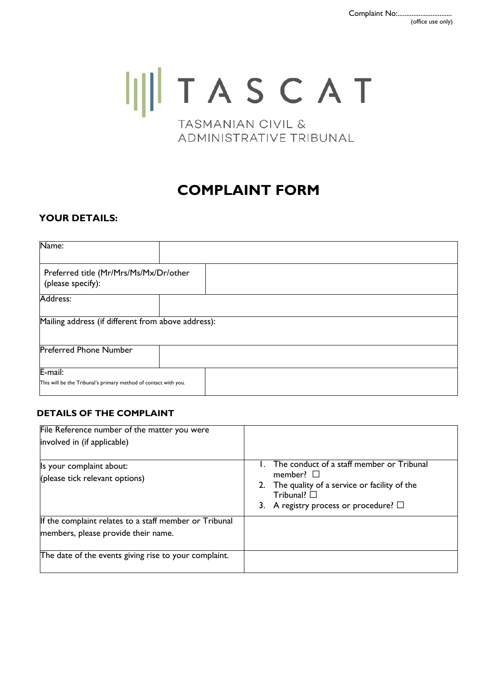## $\| \cdot \|$ TASCAT **TASMANIAN CIVIL &**

ADMINISTRATIVE TRIBUNAL

## **COMPLAINT FORM**

## **YOUR DETAILS:**

| Name:                                                                      |  |  |  |
|----------------------------------------------------------------------------|--|--|--|
| Preferred title (Mr/Mrs/Ms/Mx/Dr/other<br>(please specify):                |  |  |  |
| Address:                                                                   |  |  |  |
| Mailing address (if different from above address):                         |  |  |  |
| <b>Preferred Phone Number</b>                                              |  |  |  |
| E-mail:<br>This will be the Tribunal's primary method of contact with you. |  |  |  |

## **DETAILS OF THE COMPLAINT**

| File Reference number of the matter you were<br>involved in (if applicable)                   |                                                                                                                                                                                       |
|-----------------------------------------------------------------------------------------------|---------------------------------------------------------------------------------------------------------------------------------------------------------------------------------------|
| Is your complaint about:<br>(please tick relevant options)                                    | The conduct of a staff member or Tribunal<br>member? $\square$<br>The quality of a service or facility of the<br>2.<br>Tribunal? $\Box$<br>3. A registry process or procedure? $\Box$ |
| If the complaint relates to a staff member or Tribunal<br>members, please provide their name. |                                                                                                                                                                                       |
| The date of the events giving rise to your complaint.                                         |                                                                                                                                                                                       |